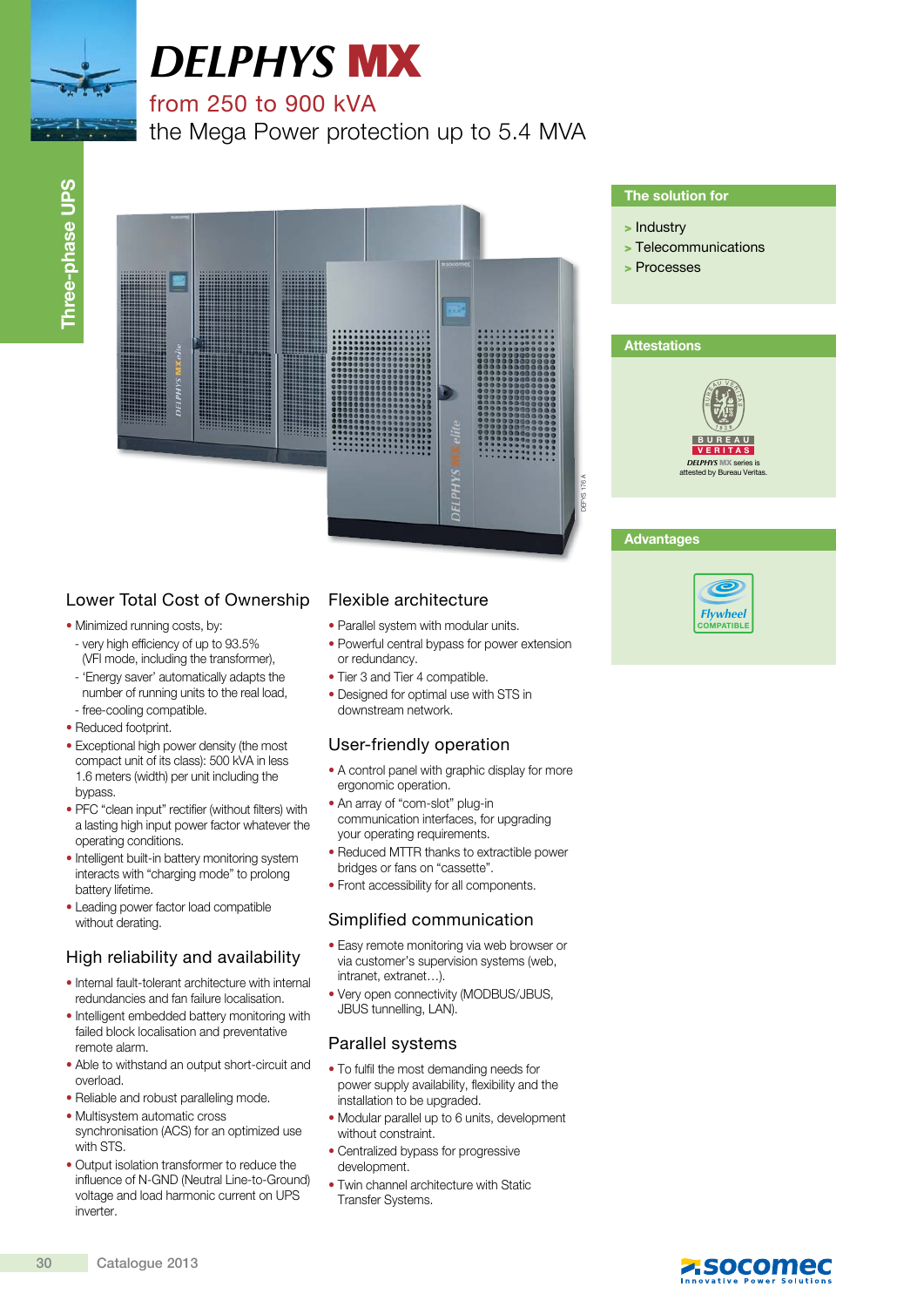

# *DELPHYS* MX

# from 250 to 900 kVA

the Mega Power protection up to 5.4 MVA



# Lower Total Cost of Ownership

- Minimized running costs, by:
- very high efficiency of up to 93.5% (VFI mode, including the transformer),
- 'Energy saver' automatically adapts the number of running units to the real load, - free-cooling compatible.
- Reduced footprint.
- Exceptional high power density (the most compact unit of its class): 500 kVA in less 1.6 meters (width) per unit including the bypass.
- PFC "clean input" rectifier (without filters) with a lasting high input power factor whatever the operating conditions.
- Intelligent built-in battery monitoring system interacts with "charging mode" to prolong battery lifetime.
- Leading power factor load compatible without derating.

# High reliability and availability

- Internal fault-tolerant architecture with internal redundancies and fan failure localisation.
- Intelligent embedded battery monitoring with failed block localisation and preventative remote alarm.
- Able to withstand an output short-circuit and overload.
- Reliable and robust paralleling mode.
- Multisystem automatic cross synchronisation (ACS) for an optimized use with STS.
- Output isolation transformer to reduce the influence of N-GND (Neutral Line-to-Ground) voltage and load harmonic current on UPS inverter.

# Flexible architecture

- Parallel system with modular units.
- Powerful central bypass for power extension or redundancy.
- Tier 3 and Tier 4 compatible.
- Designed for optimal use with STS in downstream network.

# User-friendly operation

- A control panel with graphic display for more ergonomic operation.
- An array of "com-slot" plug-in communication interfaces, for upgrading your operating requirements.
- Reduced MTTR thanks to extractible power bridges or fans on "cassette".
- Front accessibility for all components.

# Simplified communication

- Easy remote monitoring via web browser or via customer's supervision systems (web, intranet, extranet…).
- Very open connectivity (MODBUS/JBUS, JBUS tunnelling, LAN).

# Parallel systems

- To fulfil the most demanding needs for power supply availability, flexibility and the installation to be upgraded.
- Modular parallel up to 6 units, development without constraint.
- Centralized bypass for progressive development.
- Twin channel architecture with Static Transfer Systems.

### The solution for

- > Industry
- > Telecommunications
- > Processes



## **Advantages**